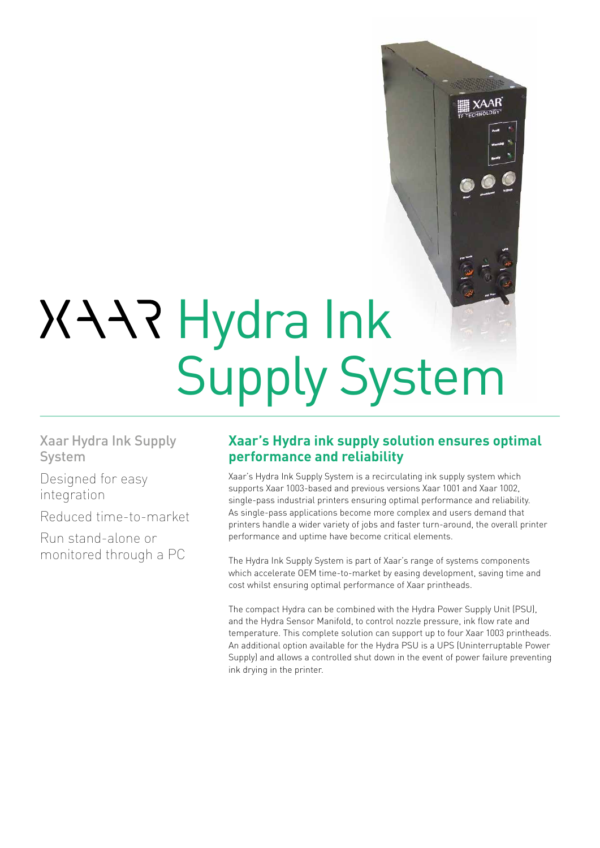# Hydra Ink Supply System

Xaar Hydra Ink Supply System

Designed for easy integration

Reduced time-to-market

Run stand-alone or monitored through a PC

### **Xaar's Hydra ink supply solution ensures optimal performance and reliability**

**XAAR** 

Xaar's Hydra Ink Supply System is a recirculating ink supply system which supports Xaar 1003-based and previous versions Xaar 1001 and Xaar 1002, single-pass industrial printers ensuring optimal performance and reliability. As single-pass applications become more complex and users demand that printers handle a wider variety of jobs and faster turn-around, the overall printer performance and uptime have become critical elements.

The Hydra Ink Supply System is part of Xaar's range of systems components which accelerate OEM time-to-market by easing development, saving time and cost whilst ensuring optimal performance of Xaar printheads.

The compact Hydra can be combined with the Hydra Power Supply Unit (PSU), and the Hydra Sensor Manifold, to control nozzle pressure, ink flow rate and temperature. This complete solution can support up to four Xaar 1003 printheads. An additional option available for the Hydra PSU is a UPS (Uninterruptable Power Supply) and allows a controlled shut down in the event of power failure preventing ink drying in the printer.